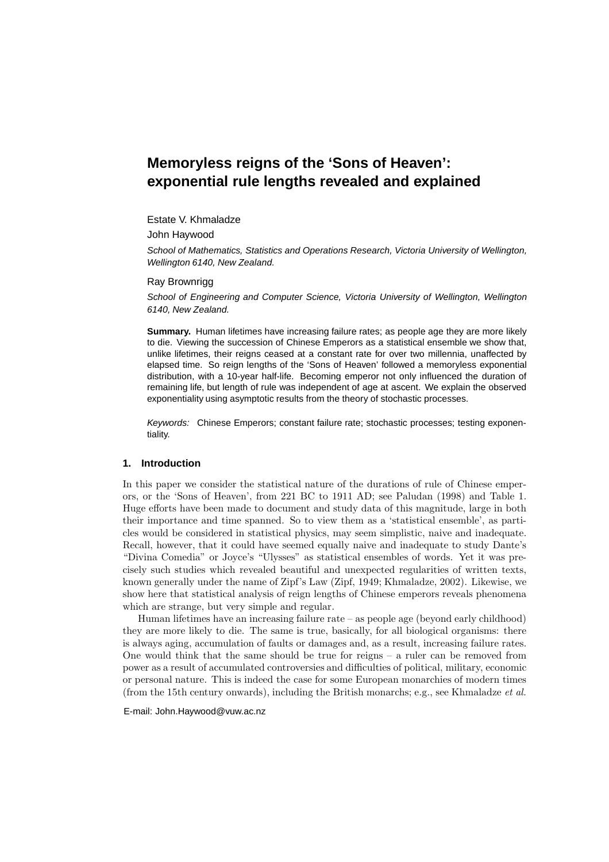# **Memoryless reigns of the 'Sons of Heaven': exponential rule lengths revealed and explained**

## Estate V. Khmaladze

John Haywood

School of Mathematics, Statistics and Operations Research, Victoria University of Wellington, Wellington 6140, New Zealand.

#### Ray Brownrigg

School of Engineering and Computer Science, Victoria University of Wellington, Wellington 6140, New Zealand.

**Summary.** Human lifetimes have increasing failure rates; as people age they are more likely to die. Viewing the succession of Chinese Emperors as a statistical ensemble we show that, unlike lifetimes, their reigns ceased at a constant rate for over two millennia, unaffected by elapsed time. So reign lengths of the 'Sons of Heaven' followed a memoryless exponential distribution, with a 10-year half-life. Becoming emperor not only influenced the duration of remaining life, but length of rule was independent of age at ascent. We explain the observed exponentiality using asymptotic results from the theory of stochastic processes.

Keywords: Chinese Emperors; constant failure rate; stochastic processes; testing exponentiality.

### **1. Introduction**

In this paper we consider the statistical nature of the durations of rule of Chinese emperors, or the 'Sons of Heaven', from 221 BC to 1911 AD; see Paludan (1998) and Table 1. Huge efforts have been made to document and study data of this magnitude, large in both their importance and time spanned. So to view them as a 'statistical ensemble', as particles would be considered in statistical physics, may seem simplistic, naive and inadequate. Recall, however, that it could have seemed equally naive and inadequate to study Dante's "Divina Comedia" or Joyce's "Ulysses" as statistical ensembles of words. Yet it was precisely such studies which revealed beautiful and unexpected regularities of written texts, known generally under the name of Zipf's Law (Zipf, 1949; Khmaladze, 2002). Likewise, we show here that statistical analysis of reign lengths of Chinese emperors reveals phenomena which are strange, but very simple and regular.

Human lifetimes have an increasing failure rate – as people age (beyond early childhood) they are more likely to die. The same is true, basically, for all biological organisms: there is always aging, accumulation of faults or damages and, as a result, increasing failure rates. One would think that the same should be true for reigns – a ruler can be removed from power as a result of accumulated controversies and difficulties of political, military, economic or personal nature. This is indeed the case for some European monarchies of modern times (from the 15th century onwards), including the British monarchs; e.g., see Khmaladze *et al.*

E-mail: John.Haywood@vuw.ac.nz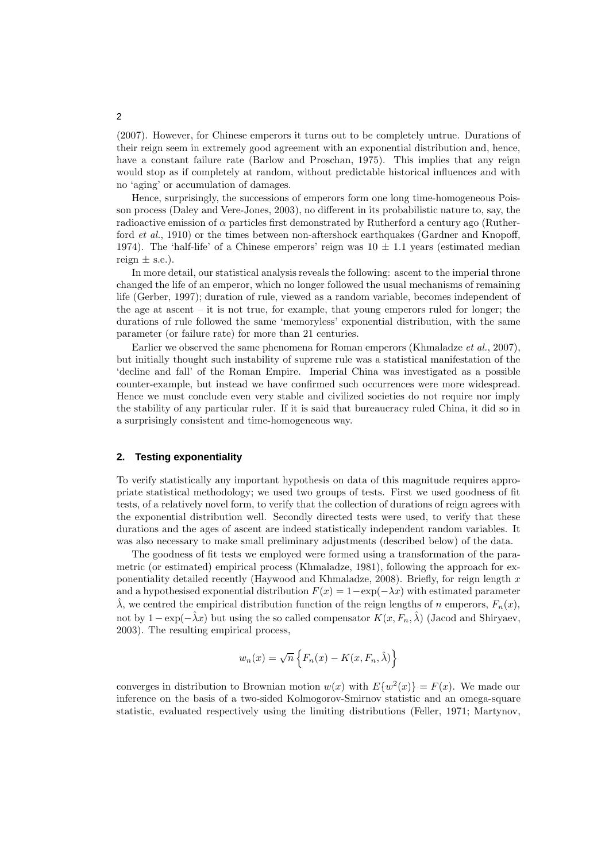(2007). However, for Chinese emperors it turns out to be completely untrue. Durations of their reign seem in extremely good agreement with an exponential distribution and, hence, have a constant failure rate (Barlow and Proschan, 1975). This implies that any reign would stop as if completely at random, without predictable historical influences and with no 'aging' or accumulation of damages.

Hence, surprisingly, the successions of emperors form one long time-homogeneous Poisson process (Daley and Vere-Jones, 2003), no different in its probabilistic nature to, say, the radioactive emission of  $\alpha$  particles first demonstrated by Rutherford a century ago (Rutherford *et al.*, 1910) or the times between non-aftershock earthquakes (Gardner and Knopoff, 1974). The 'half-life' of a Chinese emperors' reign was  $10 \pm 1.1$  years (estimated median reign  $\pm$  s.e.).

In more detail, our statistical analysis reveals the following: ascent to the imperial throne changed the life of an emperor, which no longer followed the usual mechanisms of remaining life (Gerber, 1997); duration of rule, viewed as a random variable, becomes independent of the age at ascent  $-$  it is not true, for example, that young emperors ruled for longer; the durations of rule followed the same 'memoryless' exponential distribution, with the same parameter (or failure rate) for more than 21 centuries.

Earlier we observed the same phenomena for Roman emperors (Khmaladze *et al.*, 2007), but initially thought such instability of supreme rule was a statistical manifestation of the 'decline and fall' of the Roman Empire. Imperial China was investigated as a possible counter-example, but instead we have confirmed such occurrences were more widespread. Hence we must conclude even very stable and civilized societies do not require nor imply the stability of any particular ruler. If it is said that bureaucracy ruled China, it did so in a surprisingly consistent and time-homogeneous way.

## **2. Testing exponentiality**

To verify statistically any important hypothesis on data of this magnitude requires appropriate statistical methodology; we used two groups of tests. First we used goodness of fit tests, of a relatively novel form, to verify that the collection of durations of reign agrees with the exponential distribution well. Secondly directed tests were used, to verify that these durations and the ages of ascent are indeed statistically independent random variables. It was also necessary to make small preliminary adjustments (described below) of the data.

The goodness of fit tests we employed were formed using a transformation of the parametric (or estimated) empirical process (Khmaladze, 1981), following the approach for exponentiality detailed recently (Haywood and Khmaladze, 2008). Briefly, for reign length x and a hypothesised exponential distribution  $F(x) = 1 - \exp(-\lambda x)$  with estimated parameter  $\hat{\lambda}$ , we centred the empirical distribution function of the reign lengths of n emperors,  $F_n(x)$ , not by  $1 - \exp(-\hat{\lambda}x)$  but using the so called compensator  $K(x, F_n, \hat{\lambda})$  (Jacod and Shiryaev, 2003). The resulting empirical process,

$$
w_n(x) = \sqrt{n} \left\{ F_n(x) - K(x, F_n, \hat{\lambda}) \right\}
$$

converges in distribution to Brownian motion  $w(x)$  with  $E\{w^2(x)\} = F(x)$ . We made our inference on the basis of a two-sided Kolmogorov-Smirnov statistic and an omega-square statistic, evaluated respectively using the limiting distributions (Feller, 1971; Martynov,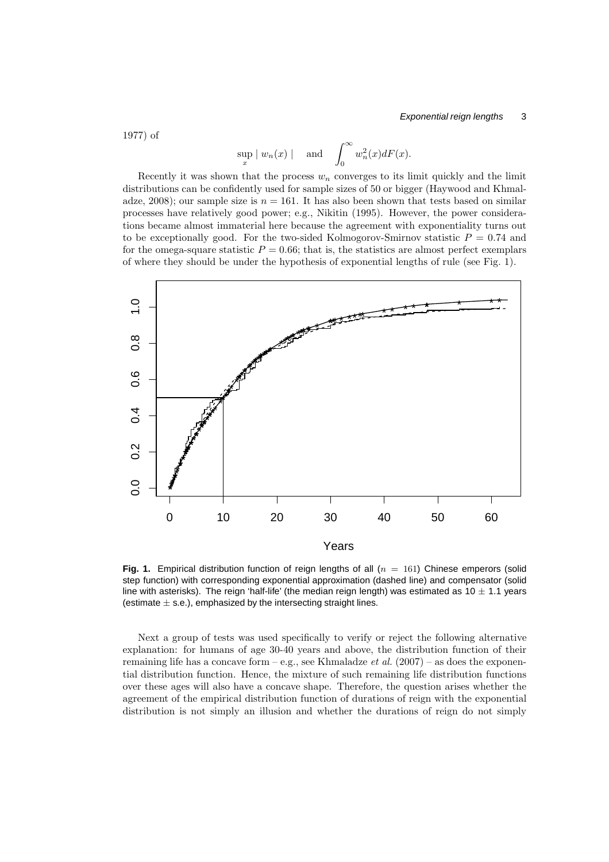1977) of

$$
\sup_x |w_n(x)| \quad \text{and} \quad \int_0^\infty w_n^2(x) dF(x).
$$

sup

Recently it was shown that the process  $w_n$  converges to its limit quickly and the limit distributions can be confidently used for sample sizes of 50 or bigger (Haywood and Khmaladze, 2008); our sample size is  $n = 161$ . It has also been shown that tests based on similar processes have relatively good power; e.g., Nikitin (1995). However, the power considerations became almost immaterial here because the agreement with exponentiality turns out to be exceptionally good. For the two-sided Kolmogorov-Smirnov statistic  $P = 0.74$  and for the omega-square statistic  $P = 0.66$ ; that is, the statistics are almost perfect exemplars of where they should be under the hypothesis of exponential lengths of rule (see Fig. 1).



**Fig. 1.** Empirical distribution function of reign lengths of all  $(n = 161)$  Chinese emperors (solid step function) with corresponding exponential approximation (dashed line) and compensator (solid line with asterisks). The reign 'half-life' (the median reign length) was estimated as  $10 \pm 1.1$  years (estimate  $\pm$  s.e.), emphasized by the intersecting straight lines.

Next a group of tests was used specifically to verify or reject the following alternative explanation: for humans of age 30-40 years and above, the distribution function of their remaining life has a concave form  $-e.g.,$  see Khmaladze *et al.* (2007) – as does the exponential distribution function. Hence, the mixture of such remaining life distribution functions over these ages will also have a concave shape. Therefore, the question arises whether the agreement of the empirical distribution function of durations of reign with the exponential distribution is not simply an illusion and whether the durations of reign do not simply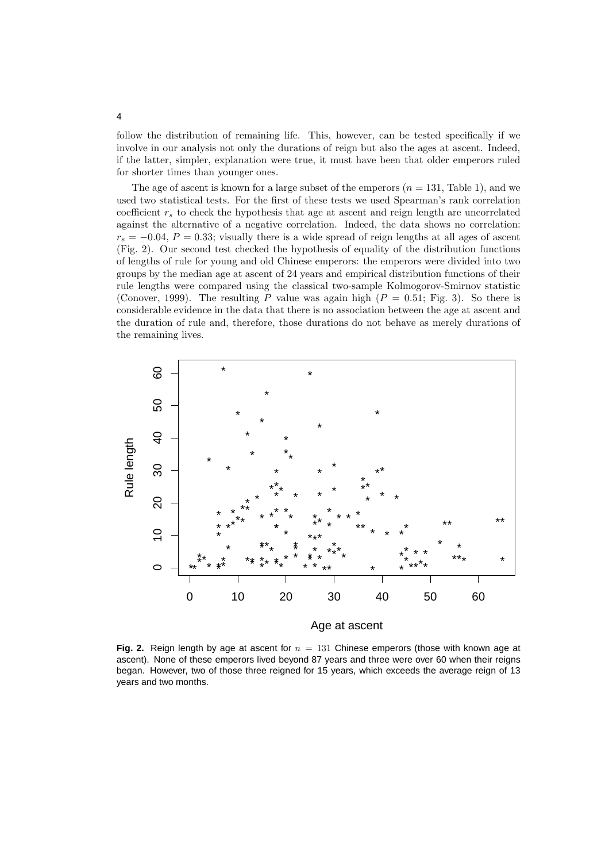follow the distribution of remaining life. This, however, can be tested specifically if we involve in our analysis not only the durations of reign but also the ages at ascent. Indeed, if the latter, simpler, explanation were true, it must have been that older emperors ruled for shorter times than younger ones.

The age of ascent is known for a large subset of the emperors  $(n = 131, \text{ Table 1})$ , and we used two statistical tests. For the first of these tests we used Spearman's rank correlation coefficient  $r<sub>s</sub>$  to check the hypothesis that age at ascent and reign length are uncorrelated against the alternative of a negative correlation. Indeed, the data shows no correlation:  $r_s = -0.04$ ,  $P = 0.33$ ; visually there is a wide spread of reign lengths at all ages of ascent (Fig. 2). Our second test checked the hypothesis of equality of the distribution functions of lengths of rule for young and old Chinese emperors: the emperors were divided into two groups by the median age at ascent of 24 years and empirical distribution functions of their rule lengths were compared using the classical two-sample Kolmogorov-Smirnov statistic (Conover, 1999). The resulting P value was again high  $(P = 0.51; Fig. 3)$ . So there is considerable evidence in the data that there is no association between the age at ascent and the duration of rule and, therefore, those durations do not behave as merely durations of the remaining lives.



**Fig. 2.** Reign length by age at ascent for  $n = 131$  Chinese emperors (those with known age at ascent). None of these emperors lived beyond 87 years and three were over 60 when their reigns began. However, two of those three reigned for 15 years, which exceeds the average reign of 13 years and two months.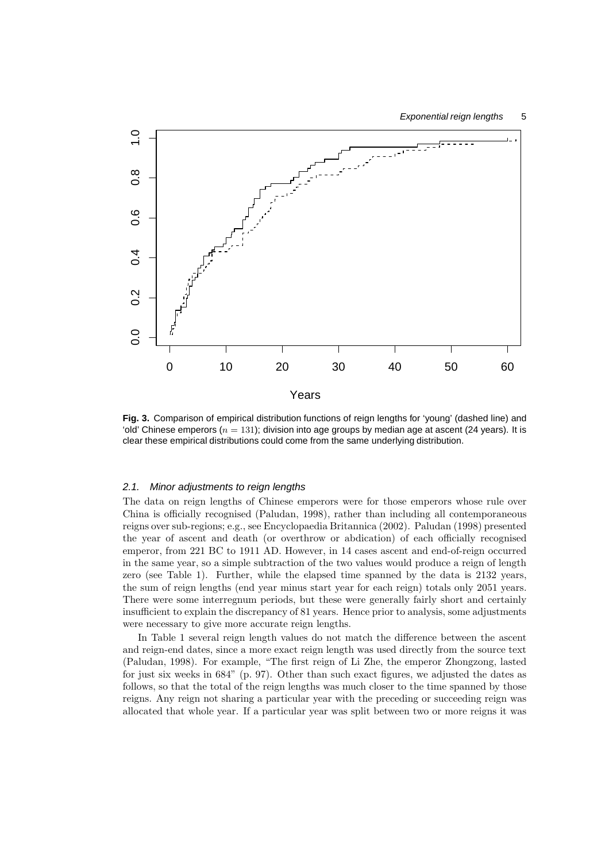

**Fig. 3.** Comparison of empirical distribution functions of reign lengths for 'young' (dashed line) and 'old' Chinese emperors ( $n = 131$ ); division into age groups by median age at ascent (24 years). It is clear these empirical distributions could come from the same underlying distribution.

#### 2.1. Minor adjustments to reign lengths

The data on reign lengths of Chinese emperors were for those emperors whose rule over China is officially recognised (Paludan, 1998), rather than including all contemporaneous reigns over sub-regions; e.g., see Encyclopaedia Britannica (2002). Paludan (1998) presented the year of ascent and death (or overthrow or abdication) of each officially recognised emperor, from 221 BC to 1911 AD. However, in 14 cases ascent and end-of-reign occurred in the same year, so a simple subtraction of the two values would produce a reign of length zero (see Table 1). Further, while the elapsed time spanned by the data is 2132 years, the sum of reign lengths (end year minus start year for each reign) totals only 2051 years. There were some interregnum periods, but these were generally fairly short and certainly insufficient to explain the discrepancy of 81 years. Hence prior to analysis, some adjustments were necessary to give more accurate reign lengths.

In Table 1 several reign length values do not match the difference between the ascent and reign-end dates, since a more exact reign length was used directly from the source text (Paludan, 1998). For example, "The first reign of Li Zhe, the emperor Zhongzong, lasted for just six weeks in 684" (p. 97). Other than such exact figures, we adjusted the dates as follows, so that the total of the reign lengths was much closer to the time spanned by those reigns. Any reign not sharing a particular year with the preceding or succeeding reign was allocated that whole year. If a particular year was split between two or more reigns it was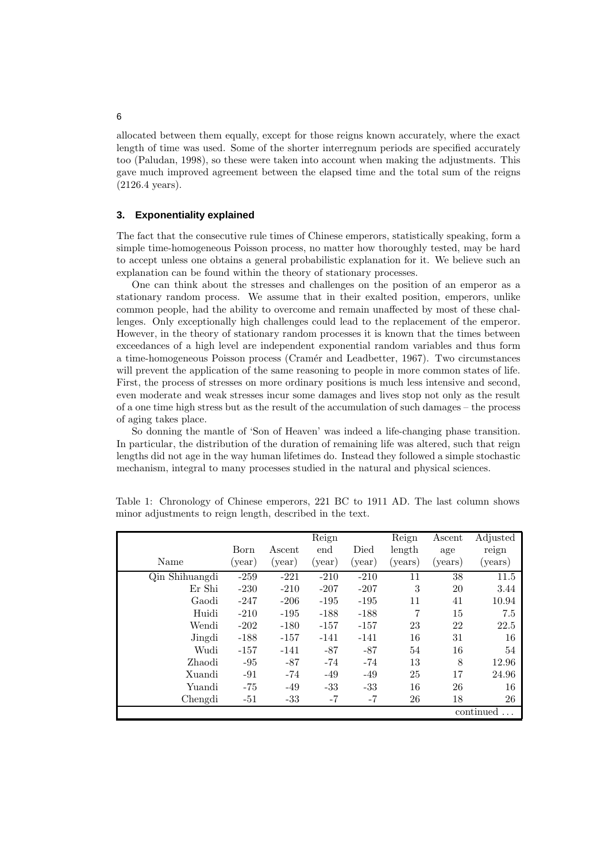allocated between them equally, except for those reigns known accurately, where the exact length of time was used. Some of the shorter interregnum periods are specified accurately too (Paludan, 1998), so these were taken into account when making the adjustments. This gave much improved agreement between the elapsed time and the total sum of the reigns (2126.4 years).

#### **3. Exponentiality explained**

The fact that the consecutive rule times of Chinese emperors, statistically speaking, form a simple time-homogeneous Poisson process, no matter how thoroughly tested, may be hard to accept unless one obtains a general probabilistic explanation for it. We believe such an explanation can be found within the theory of stationary processes.

One can think about the stresses and challenges on the position of an emperor as a stationary random process. We assume that in their exalted position, emperors, unlike common people, had the ability to overcome and remain unaffected by most of these challenges. Only exceptionally high challenges could lead to the replacement of the emperor. However, in the theory of stationary random processes it is known that the times between exceedances of a high level are independent exponential random variables and thus form a time-homogeneous Poisson process (Cram´er and Leadbetter, 1967). Two circumstances will prevent the application of the same reasoning to people in more common states of life. First, the process of stresses on more ordinary positions is much less intensive and second, even moderate and weak stresses incur some damages and lives stop not only as the result of a one time high stress but as the result of the accumulation of such damages – the process of aging takes place.

So donning the mantle of 'Son of Heaven' was indeed a life-changing phase transition. In particular, the distribution of the duration of remaining life was altered, such that reign lengths did not age in the way human lifetimes do. Instead they followed a simple stochastic mechanism, integral to many processes studied in the natural and physical sciences.

|                                    | Born   | Ascent | Reign<br>end | Died   | Reign<br>length | Ascent<br>age | Adjusted<br>reign |
|------------------------------------|--------|--------|--------------|--------|-----------------|---------------|-------------------|
| Name                               | (year) | (year) | (year)       | (year) | (years)         | (years)       | (years)           |
| $\overline{\text{Qin}}$ Shihuangdi | $-259$ | $-221$ | $-210$       | $-210$ | 11              | 38            | 11.5              |
| Er Shi                             | $-230$ | $-210$ | $-207$       | $-207$ | 3               | 20            | 3.44              |
| Gaodi                              | $-247$ | $-206$ | $-195$       | $-195$ | 11              | 41            | 10.94             |
| Huidi                              | $-210$ | $-195$ | $-188$       | $-188$ | 7               | 15            | 7.5               |
| Wendi                              | $-202$ | $-180$ | $-157$       | $-157$ | 23              | 22            | 22.5              |
| Jingdi                             | $-188$ | $-157$ | $-141$       | $-141$ | 16              | 31            | 16                |
| Wudi                               | $-157$ | $-141$ | $-87$        | $-87$  | 54              | 16            | 54                |
| Zhaodi                             | $-95$  | $-87$  | $-74$        | $-74$  | 13              | 8             | 12.96             |
| Xuandi                             | -91    | -74    | $-49$        | $-49$  | 25              | 17            | 24.96             |
| Yuandi                             | $-75$  | -49    | $-33$        | $-33$  | 16              | 26            | 16                |
| Chengdi                            | $-51$  | $-33$  | -7           | $-7$   | 26              | 18            | 26                |
|                                    |        |        |              |        |                 |               | continued         |

Table 1: Chronology of Chinese emperors, 221 BC to 1911 AD. The last column shows minor adjustments to reign length, described in the text.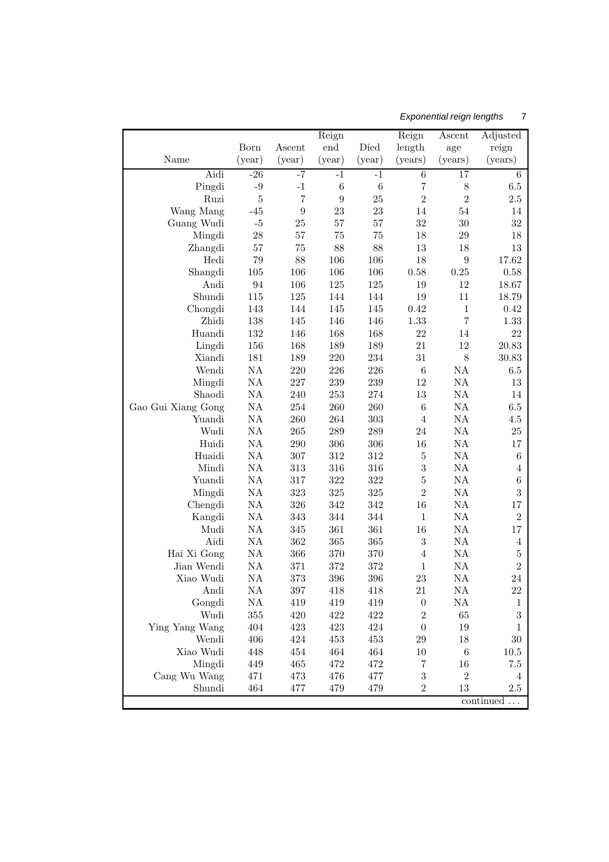# Exponential reign lengths 7

|                    |               |                  | Reign          |                | Reign                     | Ascent           | Adjusted             |
|--------------------|---------------|------------------|----------------|----------------|---------------------------|------------------|----------------------|
|                    | Born          | Ascent           | end            | Died           | length                    | age              | reign                |
| Name               | (year)        | (year)           | (year)         | (year)         | (years)                   | (years)          | (years)              |
| Aidi               | $-26$         | -7               | $-1$           | $-1$           | $\overline{6}$            | 17               | 6                    |
| Pingdi             | $-9$          | $-1$             | $\,6$          | $\,6$          | $\overline{7}$            | $8\,$            | $6.5\,$              |
| Ruzi               | $\bf 5$       | $\overline{7}$   | $\overline{9}$ | 25             | $\overline{2}$            | $\overline{2}$   | $2.5\,$              |
| Wang Mang          | $-45$         | $\boldsymbol{9}$ | 23             | 23             | 14                        | 54               | 14                   |
| Guang Wudi         | $-5$          | 25               | $57\,$         | $57\,$         | 32                        | $30\,$           | 32                   |
| Mingdi             | 28            | 57               | $75\,$         | 75             | 18                        | 29               | 18                   |
| Zhangdi            | $57\,$        | 75               | 88             | 88             | 13                        | 18               | 13                   |
| Hedi               | 79            | 88               | 106            | 106            | 18                        | $\boldsymbol{9}$ | 17.62                |
| Shangdi<br>Andi    | 105<br>94     | 106<br>106       | 106<br>$125\,$ | 106<br>125     | 0.58<br>19                | $0.25\,$<br>12   | 0.58<br>18.67        |
| Shundi             | 115           | $125\,$          | 144            | 144            | 19                        | 11               | 18.79                |
| Chongdi            | 143           | 144              | 145            | 145            | 0.42                      | $\,1\,$          | 0.42                 |
| Zhidi              | 138           | 145              | 146            | 146            | 1.33                      | $\overline{7}$   | 1.33                 |
| Huandi             | 132           | 146              | 168            | 168            | 22                        | 14               | 22                   |
| Lingdi             | 156           | 168              | 189            | 189            | 21                        | 12               | 20.83                |
| Xiandi             | 181           | 189              | $220\,$        | 234            | 31                        | $8\,$            | 30.83                |
| Wendi              | NA            | $220\,$          | $226\,$        | $226\,$        | $\,6\,$                   | NA               | $6.5\,$              |
| Mingdi             | NA            | 227              | 239            | $239\,$        | 12                        | NA               | 13                   |
| Shaodi             | NA            | 240              | $253\,$        | $\sqrt{274}$   | $13\,$                    | NA               | 14                   |
| Gao Gui Xiang Gong | NA            | 254              | 260            | 260            | $\,6$                     | NA               | $6.5\,$              |
| Yuandi             | $\mathrm{NA}$ | 260              | 264            | $303\,$        | $\overline{4}$            | NA               | 4.5                  |
| Wudi               | $\mathrm{NA}$ | 265              | $289\,$        | $\,289$        | 24                        | NA               | $25\,$               |
| Huidi              | NA            | 290              | 306            | 306            | 16                        | NA               | $17\,$               |
| Huaidi             | $\mathrm{NA}$ | 307              | 312            | $312\,$        | $\bf 5$                   | NA               | $\,6$                |
| Mindi              | $\mathrm{NA}$ | 313              | 316            | 316            | $\overline{3}$            | NA               | $\overline{4}$       |
| Yuandi             | NA            | 317              | $322\,$        | $322\,$        | $\bf 5$<br>$\overline{2}$ | NA               | $\,6$                |
| Mingdi             | NA<br>NA      | 323<br>326       | $325\,$<br>342 | $325\,$<br>342 | 16                        | NA<br>NA         | 3                    |
| Chengdi<br>Kangdi  | NA            | 343              | 344            | 344            | $\mathbf{1}$              | NA               | 17<br>$\overline{2}$ |
| Mudi               | NA            | 345              | 361            | 361            | 16                        | NA               | 17                   |
| Aidi               | NA            | 362              | 365            | 365            | $\sqrt{3}$                | NA               | 4                    |
| Hai Xi Gong        | NA            | 366              | 370            | 370            | $\overline{4}$            | NA               | $\bf 5$              |
| Jian Wendi         | NA            | 371              | 372            | 372            | $\mathbf 1$               | NA               | $\overline{2}$       |
| Xiao Wudi          | NA            | 373              | 396            | 396            | 23                        | NA               | 24                   |
| Andi               | NA            | $397\,$          | 418            | 418            | 21                        | NA               | $22\,$               |
| Gongdi             | NA            | 419              | 419            | 419            | $\boldsymbol{0}$          | NA               | 1                    |
| Wudi               | 355           | 420              | 422            | 422            | $\overline{2}$            | 65               | 3                    |
| Ying Yang Wang     | 404           | 423              | 423            | 424            | $\boldsymbol{0}$          | $19\,$           | 1                    |
| Wendi              | 406           | 424              | 453            | 453            | $\,29$                    | $18\,$           | $30\,$               |
| Xiao Wudi          | 448           | 454              | 464            | 464            | $10\,$                    | $\,6\,$          | 10.5                 |
| Mingdi             | 449           | 465              | 472            | 472            | $\!\!7$                   | $16\,$           | $7.5\,$              |
| Cang Wu Wang       | 471           | 473              | 476            | 477            | 3                         | $\overline{2}$   | $\overline{4}$       |
| Shundi             | 464           | 477              | 479            | 479            | $\overline{2}$            | 13               | 2.5                  |
|                    |               |                  |                |                |                           |                  | continued            |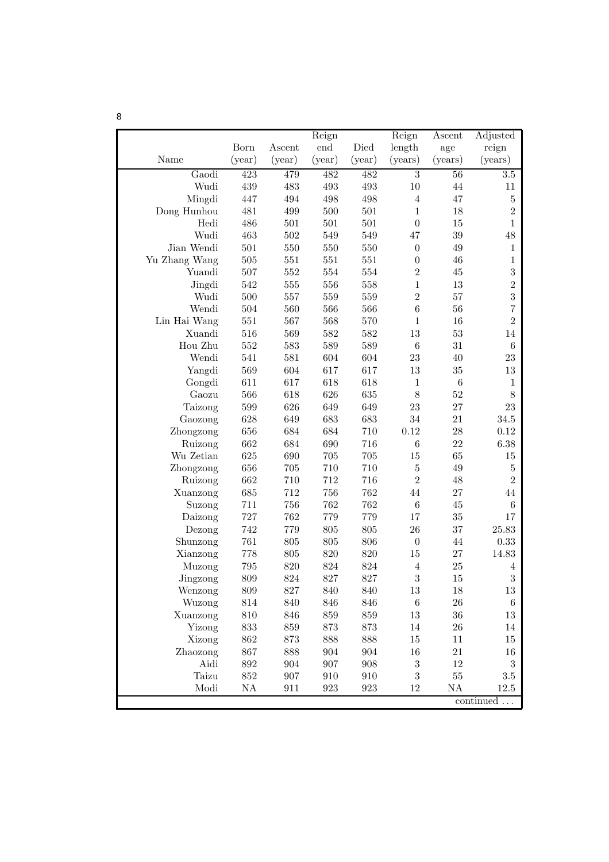|                 |            |            | Reign              |            | Reign            | Ascent          | Adjusted         |
|-----------------|------------|------------|--------------------|------------|------------------|-----------------|------------------|
|                 | Born       | Ascent     | end                | Died       | length           | age             | reign            |
| Name            | (year)     | (year)     | (year)             | (year)     | (years)          | (years)         | (years)          |
| Gaodi           | 423        | 479        | 482                | 482        | $\overline{3}$   | $\overline{56}$ | $\overline{3.5}$ |
| Wudi            | 439        | $\!483$    | 493                | 493        | $10\,$           | 44              | 11               |
| Mingdi          | 447        | 494        | 498                | 498        | $\overline{4}$   | 47              | $\bf 5$          |
| Dong Hunhou     | 481        | 499        | 500                | 501        | $1\,$            | 18              | $\overline{2}$   |
| Hedi            | 486        | 501        | 501                | 501        | $\boldsymbol{0}$ | 15              | $\mathbf{1}$     |
| Wudi            | 463        | 502        | 549                | 549        | 47               | $39\,$          | $48\,$           |
| Jian Wendi      | 501        | 550        | 550                | 550        | $\boldsymbol{0}$ | 49              | 1                |
| Yu Zhang Wang   | 505        | 551        | 551                | 551        | $\boldsymbol{0}$ | 46              | $\mathbf{1}$     |
| Yuandi          | 507        | 552        | 554                | 554        | $\overline{2}$   | 45              | $\sqrt{3}$       |
| Jingdi          | 542        | 555        | 556                | 558        | $\,1\,$          | 13              | $\overline{2}$   |
| Wudi            | 500        | 557        | 559                | 559        | $\overline{2}$   | 57              | 3                |
| Wendi           | 504        | 560        | 566                | 566        | $\,6$            | 56              | $\overline{7}$   |
| Lin Hai Wang    | 551        | 567        | 568                | 570        | $1\,$            | 16              | $\overline{2}$   |
| Xuandi          | 516        | 569        | 582                | 582        | 13               | 53              | 14               |
| Hou Zhu         | 552        | 583        | 589                | 589        | $\,6\,$          | 31              | $\,6\,$          |
| Wendi           | 541<br>569 | 581        | 604                | 604<br>617 | 23<br>13         | 40<br>35        | 23               |
| Yangdi          | 611        | 604<br>617 | 617<br>618         | 618        | $\mathbf{1}$     | $\,6\,$         | $13\,$<br>1      |
| Gongdi<br>Gaozu | 566        | 618        | 626                | 635        | $8\,$            | 52              | $8\,$            |
| Taizong         | 599        | 626        | 649                | 649        | 23               | 27              | 23               |
| Gaozong         | 628        | 649        | 683                | 683        | 34               | 21              | $34.5\,$         |
| Zhongzong       | 656        | 684        | 684                | 710        | 0.12             | 28              | 0.12             |
| Ruizong         | 662        | 684        | 690                | 716        | $\,6\,$          | 22              | 6.38             |
| Wu Zetian       | 625        | 690        | 705                | 705        | 15               | 65              | 15               |
| Zhongzong       | 656        | 705        | 710                | 710        | $\bf 5$          | 49              | $\bf 5$          |
| Ruizong         | 662        | 710        | 712                | 716        | $\overline{2}$   | 48              | $\overline{2}$   |
| Xuanzong        | 685        | 712        | 756                | 762        | 44               | 27              | 44               |
| Suzong          | 711        | 756        | 762                | 762        | $\,6\,$          | 45              | $\,6$            |
| Daizong         | 727        | 762        | 779                | 779        | 17               | 35              | 17               |
| Dezong          | 742        | 779        | 805                | 805        | 26               | 37              | 25.83            |
| Shunzong        | 761        | 805        | 805                | 806        | $\boldsymbol{0}$ | 44              | 0.33             |
| Xianzong        | 778        | 805        | 820                | 820        | 15               | 27              | 14.83            |
| Muzong          | 795        | 820        | 824                | 824        | $\overline{4}$   | 25              | 4                |
| Jingzong        | 809        | 824        | 827                | 827        | 3                | 15              | 3                |
| Wenzong         | 809        | 827        | 840                | 840        | $13\,$           | 18              | $13\,$           |
| Wuzong          | 814        | 840        | 846                | 846        | $\,6\,$          | ${\bf 26}$      | $\,6\,$          |
| Xuanzong        | $810\,$    | 846        | 859                | 859        | $13\,$           | $36\,$          | $13\,$           |
| Yizong          | $833\,$    | 859        | $873\,$            | 873        | $14\,$           | ${\bf 26}$      | 14               |
| Xizong          | $862\,$    | 873        | 888                | 888        | 15               | 11              | $15\,$           |
| Zhaozong        | 867        | 888        | 904                | 904        | $16\,$           | 21              | 16               |
| Aidi            | $892\,$    | 904        | 907                | 908        | $\sqrt{3}$       | $12\,$          | $\boldsymbol{3}$ |
| Taizu           | $852\,$    | 907        | $\boldsymbol{910}$ | 910        | $\sqrt{3}$       | $55\,$          | $3.5\,$          |
| Modi            | NA         | 911        | 923                | 923        | 12               | NA              | $12.5\,$         |
|                 |            |            |                    |            |                  |                 | continued        |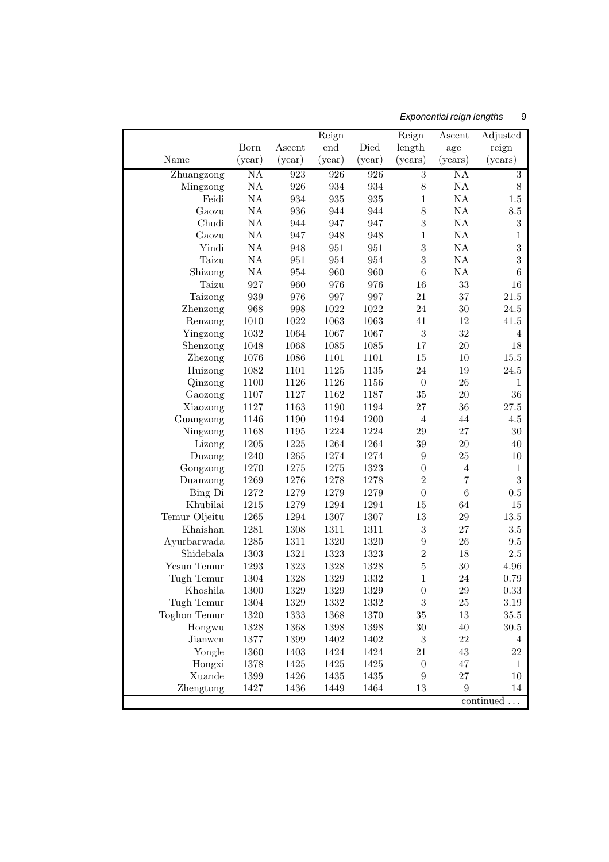# Exponential reign lengths 9

|                     |               |              | Reign        |                    | Reign                              | Ascent              | Adjusted                           |
|---------------------|---------------|--------------|--------------|--------------------|------------------------------------|---------------------|------------------------------------|
|                     | Born          | Ascent       | end          | Died               | length                             | age                 | reign                              |
| Name                | (year)        | (year)       | (year)       | (year)             | (years)                            | (years)             | (years)                            |
| Zhuangzong          | NA            | 923          | 926          | 926                | $\overline{3}$                     | ΝA                  | $\overline{3}$                     |
| Mingzong            | $\mathrm{NA}$ | 926          | 934          | 934                | 8                                  | NA                  | $8\,$                              |
| Feidi               | $\mathrm{NA}$ | 934          | 935          | $\boldsymbol{935}$ | $\mathbf{1}$                       | NA                  | 1.5                                |
| Gaozu               | $\mathrm{NA}$ | 936          | 944          | 944                | 8                                  | NA                  | $\!\!\!\!\!8.5$                    |
| Chudi               | $\mathrm{NA}$ | 944          | 947          | 947                | $\sqrt{3}$                         | NA                  | $\sqrt{3}$                         |
| Gaozu               | $\mathrm{NA}$ | 947          | 948          | 948                | $\mathbf{1}$                       | NA                  | 1                                  |
| Yindi               | $\mathrm{NA}$ | 948          | 951          | 951                | $\sqrt{3}$                         | NA                  | $\sqrt{3}$                         |
| Taizu               | $\mathrm{NA}$ | 951          | 954          | 954                | $\sqrt{3}$                         | NA                  | $\sqrt{3}$                         |
| Shizong             | $\mathrm{NA}$ | 954          | 960          | 960                | $\boldsymbol{6}$                   | NA                  | $\,6$                              |
| Taizu               | 927           | 960          | 976          | 976                | 16                                 | 33                  | 16                                 |
| Taizong             | 939           | 976          | 997          | 997                | 21                                 | 37                  | 21.5                               |
| Zhenzong            | 968           | 998          | 1022         | 1022               | 24                                 | 30                  | $24.5\,$                           |
| Renzong             | 1010          | 1022         | 1063         | 1063               | 41                                 | 12                  | $41.5\,$                           |
| Yingzong            | 1032          | 1064         | 1067         | 1067               | $\sqrt{3}$                         | 32                  | $\overline{4}$                     |
| Shenzong            | 1048          | 1068         | 1085         | 1085               | 17                                 | $20\,$              | $18\,$                             |
| Zhezong             | 1076          | 1086         | 1101         | 1101               | 15                                 | 10                  | $15.5\,$                           |
| Huizong             | 1082          | 1101         | 1125         | 1135               | 24                                 | 19                  | $24.5\,$                           |
| Qinzong             | 1100          | 1126         | 1126         | 1156               | $\boldsymbol{0}$                   | 26                  | 1                                  |
| Gaozong             | 1107          | 1127         | 1162         | 1187               | $35\,$                             | $20\,$              | $36\,$                             |
| Xiaozong            | 1127          | 1163         | 1190         | 1194               | 27                                 | 36                  | $27.5\,$                           |
| Guangzong           | 1146          | 1190         | 1194         | 1200               | $\overline{4}$                     | 44                  | $4.5\,$                            |
| Ningzong            | 1168          | 1195         | 1224         | 1224               | $\,29$                             | 27                  | $30\,$                             |
| Lizong              | 1205          | 1225         | 1264         | 1264               | $39\,$                             | $20\,$              | 40                                 |
| Duzong              | 1240          | 1265         | 1274         | 1274               | $\boldsymbol{9}$                   | $25\,$              | 10                                 |
| Gongzong            | 1270          | 1275         | 1275         | 1323               | $\boldsymbol{0}$<br>$\overline{2}$ | $\overline{4}$      | $\mathbf{1}$                       |
| Duanzong            | 1269          | 1276         | 1278         | 1278<br>1279       | $\boldsymbol{0}$                   | $\overline{7}$<br>6 | $\sqrt{3}$                         |
| Bing Di<br>Khubilai | 1272<br>1215  | 1279<br>1279 | 1279<br>1294 | 1294               |                                    | 64                  | 0.5<br>$15\,$                      |
| Temur Oljeitu       | 1265          | 1294         | 1307         | 1307               | 15<br>13                           | 29                  | $13.5\,$                           |
| Khaishan            | 1281          | 1308         | 1311         | 1311               | $\sqrt{3}$                         | 27                  | $3.5\,$                            |
| Ayurbarwada         | 1285          | 1311         | 1320         | 1320               | $\boldsymbol{9}$                   | 26                  | $\,9.5$                            |
| Shidebala           | 1303          | 1321         | 1323         | 1323               | $\overline{2}$                     | 18                  | $2.5\,$                            |
| Yesun Temur         | 1293          | 1323         | 1328         | 1328               | $\bf 5$                            | 30                  | $4.96\,$                           |
| Tugh Temur          | 1304          | 1328         | 1329         | 1332               | $\mathbf{1}$                       | 24                  | 0.79                               |
| Khoshila            | 1300          | 1329         | 1329         | 1329               | $\boldsymbol{0}$                   | $\,29$              | $0.33\,$                           |
| Tugh Temur          | 1304          | 1329         | 1332         | 1332               | $\boldsymbol{3}$                   | 25                  | $3.19\,$                           |
| Toghon Temur        | 1320          | 1333         | 1368         | 1370               | $35\,$                             | 13                  | $35.5\,$                           |
| Hongwu              | 1328          | 1368         | 1398         | 1398               | $30\,$                             | $40\,$              | $30.5\,$                           |
| Jianwen             | 1377          | 1399         | 1402         | 1402               | $\boldsymbol{3}$                   | 22                  | 4                                  |
| Yongle              | 1360          | 1403         | 1424         | 1424               | 21                                 | $43\,$              | 22                                 |
| Hongxi              | 1378          | 1425         | 1425         | 1425               | $\boldsymbol{0}$                   | 47                  | $\mathbf{1}$                       |
| Xuande              | $1399\,$      | 1426         | 1435         | 1435               | $\boldsymbol{9}$                   | $27\,$              | $10\,$                             |
| Zhengtong           | 1427          | 1436         | 1449         | 1464               | $13\,$                             | 9                   | 14                                 |
|                     |               |              |              |                    |                                    |                     | $\mathop{\mathrm{continued}}\dots$ |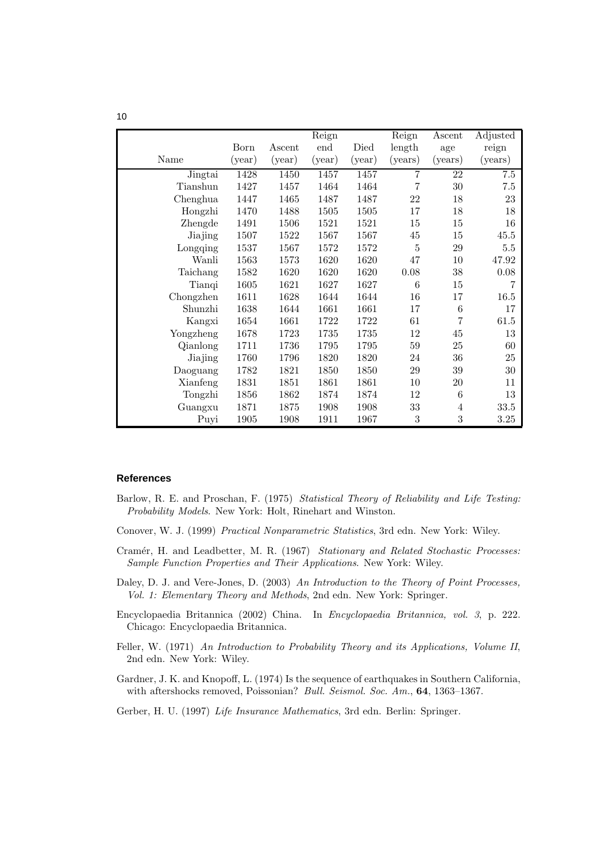|           |        |        | Reign  |        | Reign   | Ascent          | Adjusted |
|-----------|--------|--------|--------|--------|---------|-----------------|----------|
|           | Born   | Ascent | end    | Died   | length  | age             | reign    |
| Name      | (year) | (year) | (year) | (year) | (years) | (years)         | (years)  |
| Jingtai   | 1428   | 1450   | 1457   | 1457   | 7       | 22              | 7.5      |
| Tianshun  | 1427   | 1457   | 1464   | 1464   | 7       | 30              | 7.5      |
| Chenghua  | 1447   | 1465   | 1487   | 1487   | 22      | 18              | 23       |
| Hongzhi   | 1470   | 1488   | 1505   | 1505   | 17      | 18              | 18       |
| Zhengde   | 1491   | 1506   | 1521   | 1521   | 15      | 15              | 16       |
| Jiajing   | 1507   | 1522   | 1567   | 1567   | 45      | 15              | 45.5     |
| Longqing  | 1537   | 1567   | 1572   | 1572   | 5       | 29              | 5.5      |
| Wanli     | 1563   | 1573   | 1620   | 1620   | 47      | 10              | 47.92    |
| Taichang  | 1582   | 1620   | 1620   | 1620   | 0.08    | 38              | 0.08     |
| Tianqi    | 1605   | 1621   | 1627   | 1627   | 6       | 15              | 7        |
| Chongzhen | 1611   | 1628   | 1644   | 1644   | 16      | 17              | 16.5     |
| Shunzhi   | 1638   | 1644   | 1661   | 1661   | 17      | $6\phantom{.}6$ | 17       |
| Kangxi    | 1654   | 1661   | 1722   | 1722   | 61      | 7               | 61.5     |
| Yongzheng | 1678   | 1723   | 1735   | 1735   | 12      | 45              | 13       |
| Qianlong  | 1711   | 1736   | 1795   | 1795   | $59\,$  | 25              | 60       |
| Jiajing   | 1760   | 1796   | 1820   | 1820   | 24      | 36              | 25       |
| Daoguang  | 1782   | 1821   | 1850   | 1850   | $\,29$  | $39\,$          | $30\,$   |
| Xianfeng  | 1831   | 1851   | 1861   | 1861   | 10      | $20\,$          | 11       |
| Tongzhi   | 1856   | 1862   | 1874   | 1874   | 12      | 6               | 13       |
| Guangxu   | 1871   | 1875   | 1908   | 1908   | 33      | 4               | 33.5     |
| Puyi      | 1905   | 1908   | 1911   | 1967   | 3       | 3               | 3.25     |

#### **References**

- Barlow, R. E. and Proschan, F. (1975) *Statistical Theory of Reliability and Life Testing: Probability Models*. New York: Holt, Rinehart and Winston.
- Conover, W. J. (1999) *Practical Nonparametric Statistics*, 3rd edn. New York: Wiley.
- Cramér, H. and Leadbetter, M. R. (1967) *Stationary and Related Stochastic Processes: Sample Function Properties and Their Applications*. New York: Wiley.
- Daley, D. J. and Vere-Jones, D. (2003) *An Introduction to the Theory of Point Processes, Vol. 1: Elementary Theory and Methods*, 2nd edn. New York: Springer.
- Encyclopaedia Britannica (2002) China. In *Encyclopaedia Britannica, vol. 3*, p. 222. Chicago: Encyclopaedia Britannica.
- Feller, W. (1971) *An Introduction to Probability Theory and its Applications, Volume II*, 2nd edn. New York: Wiley.
- Gardner, J. K. and Knopoff, L. (1974) Is the sequence of earthquakes in Southern California, with aftershocks removed, Poissonian? *Bull. Seismol. Soc. Am.*, 64, 1363–1367.
- Gerber, H. U. (1997) *Life Insurance Mathematics*, 3rd edn. Berlin: Springer.